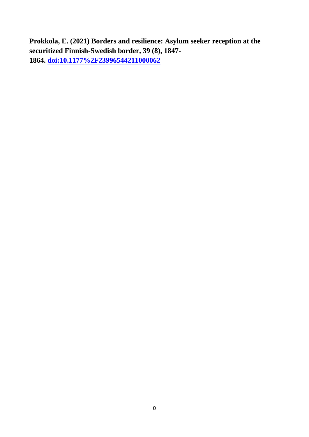**Prokkola, E. (2021) Borders and resilience: Asylum seeker reception at the securitized Finnish-Swedish border, 39 (8), 1847- 1864. [doi:10.1177%2F23996544211000062](http://dx.doi.org/10.1177%2F23996544211000062)**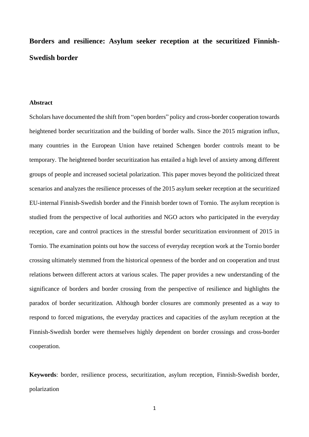**Borders and resilience: Asylum seeker reception at the securitized Finnish-Swedish border**

#### **Abstract**

Scholars have documented the shift from "open borders" policy and cross-border cooperation towards heightened border securitization and the building of border walls. Since the 2015 migration influx, many countries in the European Union have retained Schengen border controls meant to be temporary. The heightened border securitization has entailed a high level of anxiety among different groups of people and increased societal polarization. This paper moves beyond the politicized threat scenarios and analyzes the resilience processes of the 2015 asylum seeker reception at the securitized EU-internal Finnish-Swedish border and the Finnish border town of Tornio. The asylum reception is studied from the perspective of local authorities and NGO actors who participated in the everyday reception, care and control practices in the stressful border securitization environment of 2015 in Tornio. The examination points out how the success of everyday reception work at the Tornio border crossing ultimately stemmed from the historical openness of the border and on cooperation and trust relations between different actors at various scales. The paper provides a new understanding of the significance of borders and border crossing from the perspective of resilience and highlights the paradox of border securitization. Although border closures are commonly presented as a way to respond to forced migrations, the everyday practices and capacities of the asylum reception at the Finnish-Swedish border were themselves highly dependent on border crossings and cross-border cooperation.

**Keywords**: border, resilience process, securitization, asylum reception, Finnish-Swedish border, polarization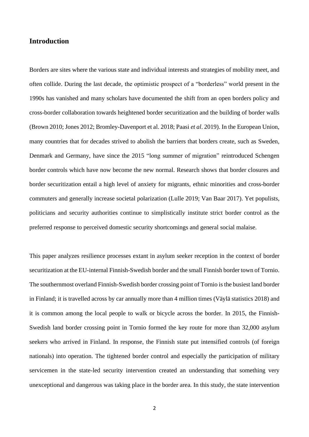# **Introduction**

Borders are sites where the various state and individual interests and strategies of mobility meet, and often collide. During the last decade, the optimistic prospect of a "borderless" world present in the 1990s has vanished and many scholars have documented the shift from an open borders policy and cross-border collaboration towards heightened border securitization and the building of border walls (Brown 2010; Jones 2012; Bromley-Davenport et al. 2018; Paasi *et al*. 2019). In the European Union, many countries that for decades strived to abolish the barriers that borders create, such as Sweden, Denmark and Germany, have since the 2015 "long summer of migration" reintroduced Schengen border controls which have now become the new normal. Research shows that border closures and border securitization entail a high level of anxiety for migrants, ethnic minorities and cross-border commuters and generally increase societal polarization (Lulle 2019; Van Baar 2017). Yet populists, politicians and security authorities continue to simplistically institute strict border control as the preferred response to perceived domestic security shortcomings and general social malaise.

This paper analyzes resilience processes extant in asylum seeker reception in the context of border securitization at the EU-internal Finnish-Swedish border and the small Finnish border town of Tornio. The southernmost overland Finnish-Swedish border crossing point of Tornio is the busiest land border in Finland; it is travelled across by car annually more than 4 million times (Väylä statistics 2018) and it is common among the local people to walk or bicycle across the border. In 2015, the Finnish-Swedish land border crossing point in Tornio formed the key route for more than 32,000 asylum seekers who arrived in Finland. In response, the Finnish state put intensified controls (of foreign nationals) into operation. The tightened border control and especially the participation of military servicemen in the state-led security intervention created an understanding that something very unexceptional and dangerous was taking place in the border area. In this study, the state intervention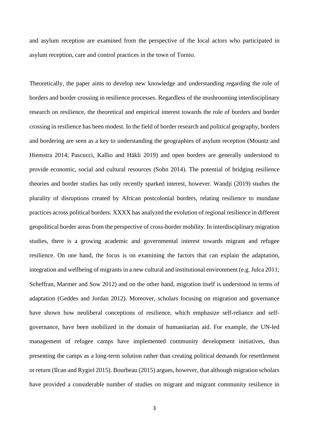and asylum reception are examined from the perspective of the local actors who participated in asylum reception, care and control practices in the town of Tornio.

Theoretically, the paper aims to develop new knowledge and understanding regarding the role of borders and border crossing in resilience processes. Regardless of the mushrooming interdisciplinary research on resilience, the theoretical and empirical interest towards the role of borders and border crossing in resilience has been modest. In the field of border research and political geography, borders and bordering are seen as a key to understanding the geographies of asylum reception (Mountz and Hiemstra 2014; Pascucci, Kallio and Häkli 2019) and open borders are generally understood to provide economic, social and cultural resources (Sohn 2014). The potential of bridging resilience theories and border studies has only recently sparked interest, however. Wandji (2019) studies the plurality of disruptions created by African postcolonial borders, relating resilience to mundane practices across political borders. XXXX has analyzed the evolution of regional resilience in different geopolitical border areas from the perspective of cross-border mobility. In interdisciplinary migration studies, there is a growing academic and governmental interest towards migrant and refugee resilience. On one hand, the focus is on examining the factors that can explain the adaptation, integration and wellbeing of migrants in a new cultural and institutional environment (e.g. Julca 2011; Scheffran, Marmer and Sow 2012) and on the other hand, migration itself is understood in terms of adaptation (Geddes and Jordan 2012). Moreover, scholars focusing on migration and governance have shown how neoliberal conceptions of resilience, which emphasize self-reliance and selfgovernance, have been mobilized in the domain of humanitarian aid. For example, the UN-led management of refugee camps have implemented community development initiatives, thus presenting the camps as a long-term solution rather than creating political demands for resettlement or return (Ilcan and Rygiel 2015). Bourbeau (2015) argues, however, that although migration scholars have provided a considerable number of studies on migrant and migrant community resilience in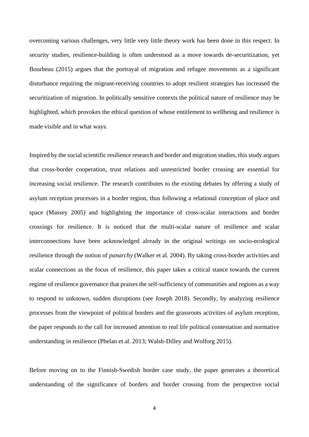overcoming various challenges, very little very little theory work has been done in this respect. In security studies, resilience-building is often understood as a move towards de-securitization, yet Bourbeau (2015) argues that the portrayal of migration and refugee movements as a significant disturbance requiring the migrant-receiving countries to adopt resilient strategies has increased the securitization of migration. In politically sensitive contexts the political nature of resilience may be highlighted, which provokes the ethical question of whose entitlement to wellbeing and resilience is made visible and in what ways.

Inspired by the social scientific resilience research and border and migration studies, this study argues that cross-border cooperation, trust relations and unrestricted border crossing are essential for increasing social resilience. The research contributes to the existing debates by offering a study of asylum reception processes in a border region, thus following a relational conception of place and space (Massey 2005) and highlighting the importance of cross-scalar interactions and border crossings for resilience. It is noticed that the multi-scalar nature of resilience and scalar interconnections have been acknowledged already in the original writings on socio-ecological resilience through the notion of *panarchy* (Walker et al. 2004). By taking cross-border activities and scalar connections as the focus of resilience, this paper takes a critical stance towards the current regime of resilience governance that praises the self-sufficiency of communities and regions as a way to respond to unknown, sudden disruptions (see Joseph 2018). Secondly, by analyzing resilience processes from the viewpoint of political borders and the grassroots activities of asylum reception, the paper responds to the call for increased attention to real life political contestation and normative understanding in resilience (Phelan et al. 2013; Walsh-Dilley and Wolforg 2015).

Before moving on to the Finnish-Swedish border case study, the paper generates a theoretical understanding of the significance of borders and border crossing from the perspective social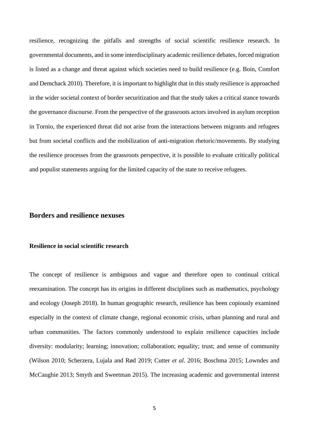resilience, recognizing the pitfalls and strengths of social scientific resilience research. In governmental documents, and in some interdisciplinary academic resilience debates, forced migration is listed as a change and threat against which societies need to build resilience (e.g. Boin, Comfort and Demchack 2010). Therefore, it is important to highlight that in this study resilience is approached in the wider societal context of border securitization and that the study takes a critical stance towards the governance discourse. From the perspective of the grassroots actors involved in asylum reception in Tornio, the experienced threat did not arise from the interactions between migrants and refugees but from societal conflicts and the mobilization of anti-migration rhetoric/movements. By studying the resilience processes from the grassroots perspective, it is possible to evaluate critically political and populist statements arguing for the limited capacity of the state to receive refugees.

# **Borders and resilience nexuses**

#### **Resilience in social scientific research**

The concept of resilience is ambiguous and vague and therefore open to continual critical reexamination. The concept has its origins in different disciplines such as mathematics, psychology and ecology (Joseph 2018). In human geographic research, resilience has been copiously examined especially in the context of climate change, regional economic crisis, urban planning and rural and urban communities. The factors commonly understood to explain resilience capacities include diversity: modularity; learning; innovation; collaboration; equality; trust; and sense of community (Wilson 2010; Scherzera, Lujala and Rød 2019; Cutter *et al*. 2016; Boschma 2015; Lowndes and McCaughie 2013; Smyth and Sweetman 2015). The increasing academic and governmental interest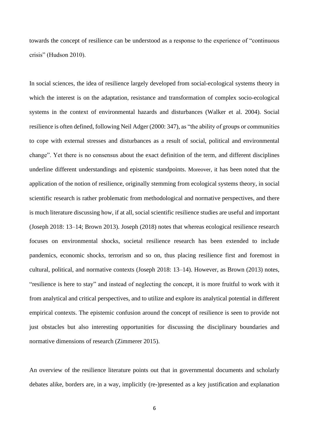towards the concept of resilience can be understood as a response to the experience of "continuous crisis" (Hudson 2010).

In social sciences, the idea of resilience largely developed from social-ecological systems theory in which the interest is on the adaptation, resistance and transformation of complex socio-ecological systems in the context of environmental hazards and disturbances (Walker et al. 2004). Social resilience is often defined, following Neil Adger (2000: 347), as "the ability of groups or communities to cope with external stresses and disturbances as a result of social, political and environmental change". Yet there is no consensus about the exact definition of the term, and different disciplines underline different understandings and epistemic standpoints. Moreover, it has been noted that the application of the notion of resilience, originally stemming from ecological systems theory, in social scientific research is rather problematic from methodological and normative perspectives, and there is much literature discussing how, if at all, social scientific resilience studies are useful and important (Joseph 2018: 13–14; Brown 2013). Joseph (2018) notes that whereas ecological resilience research focuses on environmental shocks, societal resilience research has been extended to include pandemics, economic shocks, terrorism and so on, thus placing resilience first and foremost in cultural, political, and normative contexts (Joseph 2018: 13–14). However, as Brown (2013) notes, "resilience is here to stay" and instead of neglecting the concept, it is more fruitful to work with it from analytical and critical perspectives, and to utilize and explore its analytical potential in different empirical contexts. The epistemic confusion around the concept of resilience is seen to provide not just obstacles but also interesting opportunities for discussing the disciplinary boundaries and normative dimensions of research (Zimmerer 2015).

An overview of the resilience literature points out that in governmental documents and scholarly debates alike, borders are, in a way, implicitly (re-)presented as a key justification and explanation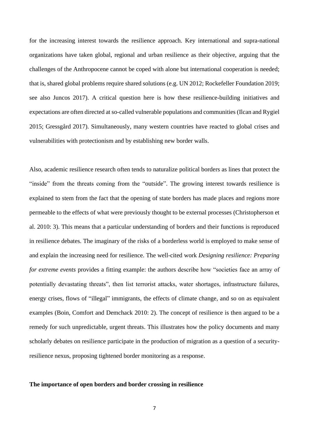for the increasing interest towards the resilience approach. Key international and supra-national organizations have taken global, regional and urban resilience as their objective, arguing that the challenges of the Anthropocene cannot be coped with alone but international cooperation is needed; that is, shared global problems require shared solutions (e.g. UN 2012; Rockefeller Foundation 2019; see also Juncos 2017). A critical question here is how these resilience-building initiatives and expectations are often directed at so-called vulnerable populations and communities (Ilcan and Rygiel 2015; Gressgård 2017). Simultaneously, many western countries have reacted to global crises and vulnerabilities with protectionism and by establishing new border walls.

Also, academic resilience research often tends to naturalize political borders as lines that protect the "inside" from the threats coming from the "outside". The growing interest towards resilience is explained to stem from the fact that the opening of state borders has made places and regions more permeable to the effects of what were previously thought to be external processes (Christopherson et al. 2010: 3). This means that a particular understanding of borders and their functions is reproduced in resilience debates. The imaginary of the risks of a borderless world is employed to make sense of and explain the increasing need for resilience. The well-cited work *Designing resilience: Preparing for extreme events* provides a fitting example: the authors describe how "societies face an array of potentially devastating threats", then list terrorist attacks, water shortages, infrastructure failures, energy crises, flows of "illegal" immigrants, the effects of climate change, and so on as equivalent examples (Boin, Comfort and Demchack 2010: 2). The concept of resilience is then argued to be a remedy for such unpredictable, urgent threats. This illustrates how the policy documents and many scholarly debates on resilience participate in the production of migration as a question of a securityresilience nexus, proposing tightened border monitoring as a response.

### **The importance of open borders and border crossing in resilience**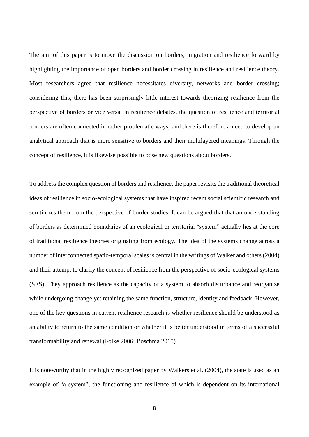The aim of this paper is to move the discussion on borders, migration and resilience forward by highlighting the importance of open borders and border crossing in resilience and resilience theory. Most researchers agree that resilience necessitates diversity, networks and border crossing; considering this, there has been surprisingly little interest towards theorizing resilience from the perspective of borders or vice versa. In resilience debates, the question of resilience and territorial borders are often connected in rather problematic ways, and there is therefore a need to develop an analytical approach that is more sensitive to borders and their multilayered meanings. Through the concept of resilience, it is likewise possible to pose new questions about borders.

To address the complex question of borders and resilience, the paper revisits the traditional theoretical ideas of resilience in socio-ecological systems that have inspired recent social scientific research and scrutinizes them from the perspective of border studies. It can be argued that that an understanding of borders as determined boundaries of an ecological or territorial "system" actually lies at the core of traditional resilience theories originating from ecology. The idea of the systems change across a number of interconnected spatio-temporal scales is central in the writings of Walker and others (2004) and their attempt to clarify the concept of resilience from the perspective of socio-ecological systems (SES). They approach resilience as the capacity of a system to absorb disturbance and reorganize while undergoing change yet retaining the same function, structure, identity and feedback. However, one of the key questions in current resilience research is whether resilience should be understood as an ability to return to the same condition or whether it is better understood in terms of a successful transformability and renewal (Folke 2006; Boschma 2015).

It is noteworthy that in the highly recognized paper by Walkers et al. (2004), the state is used as an example of "a system", the functioning and resilience of which is dependent on its international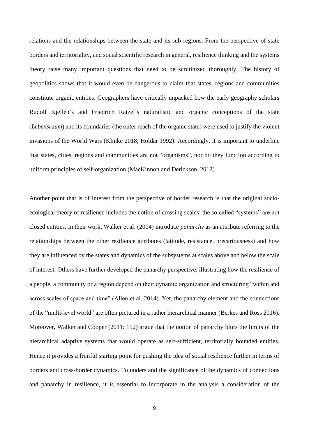relations and the relationships between the state and its sub-regions. From the perspective of state borders and territoriality, and social scientific research in general, resilience thinking and the systems theory raise many important questions that need to be scrutinized thoroughly. The history of geopolitics shows that it would even be dangerous to claim that states, regions and communities constitute organic entities. Geographers have critically unpacked how the early geography scholars Rudolf Kjellén's and Friedrich Ratzel's naturalistic and organic conceptions of the state (*Lebensraum*) and its boundaries (the outer reach of the organic state) were used to justify the violent invasions of the World Wars (Klinke 2018; Holdar 1992). Accordingly, it is important to underline that states, cities, regions and communities are not "organisms", nor do they function according to uniform principles of self-organization (MacKinnon and Derickson, 2012).

Another point that is of interest from the perspective of border research is that the original socioecological theory of resilience includes the notion of crossing scales; the so-called "systems" are not closed entities. In their work, Walker et al. (2004) introduce *panarchy* as an attribute referring to the relationships between the other resilience attributes (latitude, resistance, precariousness) and how they are influenced by the states and dynamics of the subsystems at scales above and below the scale of interest. Others have further developed the panarchy perspective, illustrating how the resilience of a people, a community or a region depend on their dynamic organization and structuring "within and across scales of space and time" (Allen et al. 2014). Yet, the panarchy element and the connections of the "multi-level world" are often pictured in a rather hierarchical manner (Berkes and Ross 2016). Moreover, Walker and Cooper (2011: 152) argue that the notion of panarchy blurs the limits of the hierarchical adaptive systems that would operate as self-sufficient, territorially bounded entities. Hence it provides a fruitful starting point for pushing the idea of social resilience further in terms of borders and cross-border dynamics. To understand the significance of the dynamics of connections and panarchy in resilience, it is essential to incorporate in the analysis a consideration of the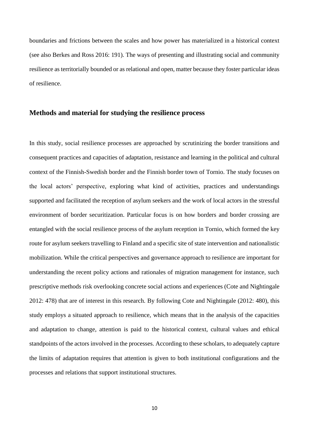boundaries and frictions between the scales and how power has materialized in a historical context (see also Berkes and Ross 2016: 191). The ways of presenting and illustrating social and community resilience as territorially bounded or as relational and open, matter because they foster particular ideas of resilience.

# **Methods and material for studying the resilience process**

In this study, social resilience processes are approached by scrutinizing the border transitions and consequent practices and capacities of adaptation, resistance and learning in the political and cultural context of the Finnish-Swedish border and the Finnish border town of Tornio. The study focuses on the local actors' perspective, exploring what kind of activities, practices and understandings supported and facilitated the reception of asylum seekers and the work of local actors in the stressful environment of border securitization. Particular focus is on how borders and border crossing are entangled with the social resilience process of the asylum reception in Tornio, which formed the key route for asylum seekers travelling to Finland and a specific site of state intervention and nationalistic mobilization. While the critical perspectives and governance approach to resilience are important for understanding the recent policy actions and rationales of migration management for instance, such prescriptive methods risk overlooking concrete social actions and experiences (Cote and Nightingale 2012: 478) that are of interest in this research. By following Cote and Nightingale (2012: 480), this study employs a situated approach to resilience, which means that in the analysis of the capacities and adaptation to change, attention is paid to the historical context, cultural values and ethical standpoints of the actors involved in the processes. According to these scholars, to adequately capture the limits of adaptation requires that attention is given to both institutional configurations and the processes and relations that support institutional structures.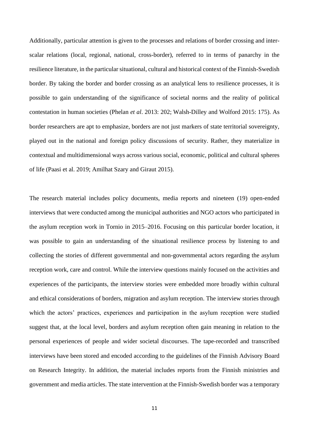Additionally, particular attention is given to the processes and relations of border crossing and interscalar relations (local, regional, national, cross-border), referred to in terms of panarchy in the resilience literature, in the particular situational, cultural and historical context of the Finnish-Swedish border. By taking the border and border crossing as an analytical lens to resilience processes, it is possible to gain understanding of the significance of societal norms and the reality of political contestation in human societies (Phelan *et al*. 2013: 202; Walsh-Dilley and Wolford 2015: 175). As border researchers are apt to emphasize, borders are not just markers of state territorial sovereignty, played out in the national and foreign policy discussions of security. Rather, they materialize in contextual and multidimensional ways across various social, economic, political and cultural spheres of life (Paasi et al. 2019; Amilhat Szary and Giraut 2015).

The research material includes policy documents, media reports and nineteen (19) open-ended interviews that were conducted among the municipal authorities and NGO actors who participated in the asylum reception work in Tornio in 2015–2016. Focusing on this particular border location, it was possible to gain an understanding of the situational resilience process by listening to and collecting the stories of different governmental and non-governmental actors regarding the asylum reception work, care and control. While the interview questions mainly focused on the activities and experiences of the participants, the interview stories were embedded more broadly within cultural and ethical considerations of borders, migration and asylum reception. The interview stories through which the actors' practices, experiences and participation in the asylum reception were studied suggest that, at the local level, borders and asylum reception often gain meaning in relation to the personal experiences of people and wider societal discourses. The tape-recorded and transcribed interviews have been stored and encoded according to the guidelines of the Finnish Advisory Board on Research Integrity. In addition, the material includes reports from the Finnish ministries and government and media articles. The state intervention at the Finnish-Swedish border was a temporary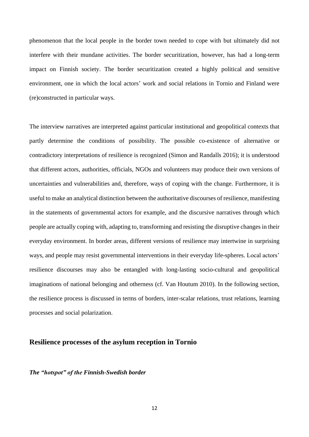phenomenon that the local people in the border town needed to cope with but ultimately did not interfere with their mundane activities. The border securitization, however, has had a long-term impact on Finnish society. The border securitization created a highly political and sensitive environment, one in which the local actors' work and social relations in Tornio and Finland were (re)constructed in particular ways.

The interview narratives are interpreted against particular institutional and geopolitical contexts that partly determine the conditions of possibility. The possible co-existence of alternative or contradictory interpretations of resilience is recognized (Simon and Randalls 2016); it is understood that different actors, authorities, officials, NGOs and volunteers may produce their own versions of uncertainties and vulnerabilities and, therefore, ways of coping with the change. Furthermore, it is useful to make an analytical distinction between the authoritative discourses of resilience, manifesting in the statements of governmental actors for example, and the discursive narratives through which people are actually coping with, adapting to, transforming and resisting the disruptive changes in their everyday environment. In border areas, different versions of resilience may intertwine in surprising ways, and people may resist governmental interventions in their everyday life-spheres. Local actors' resilience discourses may also be entangled with long-lasting socio-cultural and geopolitical imaginations of national belonging and otherness (cf. Van Houtum 2010). In the following section, the resilience process is discussed in terms of borders, inter-scalar relations, trust relations, learning processes and social polarization.

### **Resilience processes of the asylum reception in Tornio**

### *The "hotspot" of the Finnish-Swedish border*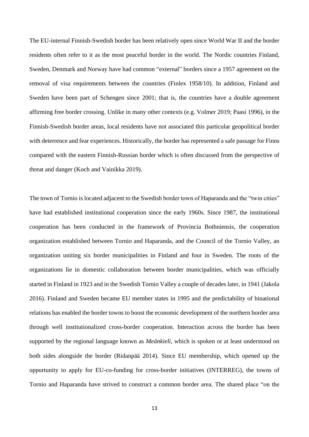The EU-internal Finnish-Swedish border has been relatively open since World War II and the border residents often refer to it as the most peaceful border in the world. The Nordic countries Finland, Sweden, Denmark and Norway have had common "external" borders since a 1957 agreement on the removal of visa requirements between the countries (Finlex 1958/10). In addition, Finland and Sweden have been part of Schengen since 2001; that is, the countries have a double agreement affirming free border crossing. Unlike in many other contexts (e.g. Volmer 2019; Paasi 1996), in the Finnish-Swedish border areas, local residents have not associated this particular geopolitical border with deterrence and fear experiences. Historically, the border has represented a safe passage for Finns compared with the eastern Finnish-Russian border which is often discussed from the perspective of threat and danger (Koch and Vainikka 2019).

The town of Tornio is located adjacent to the Swedish border town of Haparanda and the "twin cities" have had established institutional cooperation since the early 1960s. Since 1987, the institutional cooperation has been conducted in the framework of Provincia Bothniensis, the cooperation organization established between Tornio and Haparanda, and the Council of the Tornio Valley, an organization uniting six border municipalities in Finland and four in Sweden. The roots of the organizations lie in domestic collaboration between border municipalities, which was officially started in Finland in 1923 and in the Swedish Tornio Valley a couple of decades later, in 1941 (Jakola 2016). Finland and Sweden became EU member states in 1995 and the predictability of binational relations has enabled the border towns to boost the economic development of the northern border area through well institutionalized cross-border cooperation. Interaction across the border has been supported by the regional language known as *Meänkieli*, which is spoken or at least understood on both sides alongside the border (Ridanpää 2014). Since EU membership, which opened up the opportunity to apply for EU-co-funding for cross-border initiatives (INTERREG), the towns of Tornio and Haparanda have strived to construct a common border area. The shared place "on the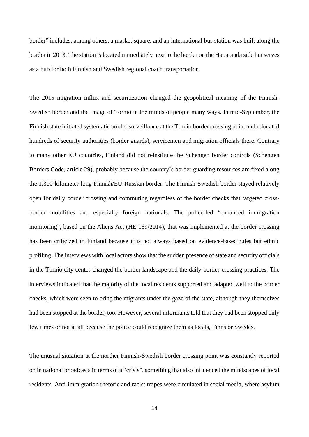border" includes, among others, a market square, and an international bus station was built along the border in 2013. The station is located immediately next to the border on the Haparanda side but serves as a hub for both Finnish and Swedish regional coach transportation.

The 2015 migration influx and securitization changed the geopolitical meaning of the Finnish-Swedish border and the image of Tornio in the minds of people many ways. In mid-September, the Finnish state initiated systematic border surveillance at the Tornio border crossing point and relocated hundreds of security authorities (border guards), servicemen and migration officials there. Contrary to many other EU countries, Finland did not reinstitute the Schengen border controls (Schengen Borders Code, article 29), probably because the country's border guarding resources are fixed along the 1,300-kilometer-long Finnish/EU-Russian border. The Finnish-Swedish border stayed relatively open for daily border crossing and commuting regardless of the border checks that targeted crossborder mobilities and especially foreign nationals. The police-led "enhanced immigration monitoring", based on the Aliens Act (HE 169/2014), that was implemented at the border crossing has been criticized in Finland because it is not always based on evidence-based rules but ethnic profiling. The interviews with local actors show that the sudden presence of state and security officials in the Tornio city center changed the border landscape and the daily border-crossing practices. The interviews indicated that the majority of the local residents supported and adapted well to the border checks, which were seen to bring the migrants under the gaze of the state, although they themselves had been stopped at the border, too. However, several informants told that they had been stopped only few times or not at all because the police could recognize them as locals, Finns or Swedes.

The unusual situation at the norther Finnish-Swedish border crossing point was constantly reported on in national broadcasts in terms of a "crisis", something that also influenced the mindscapes of local residents. Anti-immigration rhetoric and racist tropes were circulated in social media, where asylum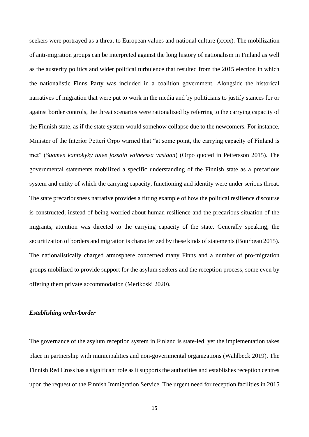seekers were portrayed as a threat to European values and national culture (xxxx). The mobilization of anti-migration groups can be interpreted against the long history of nationalism in Finland as well as the austerity politics and wider political turbulence that resulted from the 2015 election in which the nationalistic Finns Party was included in a coalition government. Alongside the historical narratives of migration that were put to work in the media and by politicians to justify stances for or against border controls, the threat scenarios were rationalized by referring to the carrying capacity of the Finnish state, as if the state system would somehow collapse due to the newcomers. For instance, Minister of the Interior Petteri Orpo warned that "at some point, the carrying capacity of Finland is met" (*Suomen kantokyky tulee jossain vaiheessa vastaan*) (Orpo quoted in Pettersson 2015). The governmental statements mobilized a specific understanding of the Finnish state as a precarious system and entity of which the carrying capacity, functioning and identity were under serious threat. The state precariousness narrative provides a fitting example of how the political resilience discourse is constructed; instead of being worried about human resilience and the precarious situation of the migrants, attention was directed to the carrying capacity of the state. Generally speaking, the securitization of borders and migration is characterized by these kinds of statements (Bourbeau 2015). The nationalistically charged atmosphere concerned many Finns and a number of pro-migration groups mobilized to provide support for the asylum seekers and the reception process, some even by offering them private accommodation (Merikoski 2020).

### *Establishing order/border*

The governance of the asylum reception system in Finland is state-led, yet the implementation takes place in partnership with municipalities and non-governmental organizations (Wahlbeck 2019). The Finnish Red Cross has a significant role as it supports the authorities and establishes reception centres upon the request of the Finnish Immigration Service. The urgent need for reception facilities in 2015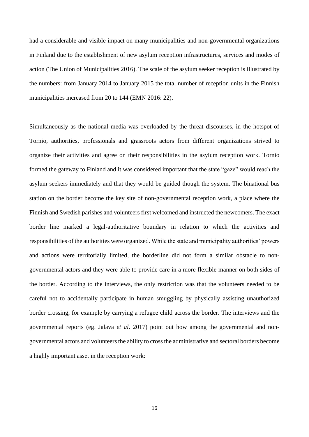had a considerable and visible impact on many municipalities and non-governmental organizations in Finland due to the establishment of new asylum reception infrastructures, services and modes of action (The Union of Municipalities 2016). The scale of the asylum seeker reception is illustrated by the numbers: from January 2014 to January 2015 the total number of reception units in the Finnish municipalities increased from 20 to 144 (EMN 2016: 22).

Simultaneously as the national media was overloaded by the threat discourses, in the hotspot of Tornio, authorities, professionals and grassroots actors from different organizations strived to organize their activities and agree on their responsibilities in the asylum reception work. Tornio formed the gateway to Finland and it was considered important that the state "gaze" would reach the asylum seekers immediately and that they would be guided though the system. The binational bus station on the border become the key site of non-governmental reception work, a place where the Finnish and Swedish parishes and volunteers first welcomed and instructed the newcomers. The exact border line marked a legal-authoritative boundary in relation to which the activities and responsibilities of the authorities were organized. While the state and municipality authorities' powers and actions were territorially limited, the borderline did not form a similar obstacle to nongovernmental actors and they were able to provide care in a more flexible manner on both sides of the border. According to the interviews, the only restriction was that the volunteers needed to be careful not to accidentally participate in human smuggling by physically assisting unauthorized border crossing, for example by carrying a refugee child across the border. The interviews and the governmental reports (eg. Jalava *et al*. 2017) point out how among the governmental and nongovernmental actors and volunteers the ability to cross the administrative and sectoral borders become a highly important asset in the reception work: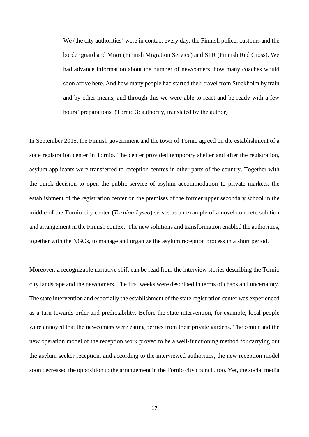We (the city authorities) were in contact every day, the Finnish police, customs and the border guard and Migri (Finnish Migration Service) and SPR (Finnish Red Cross). We had advance information about the number of newcomers, how many coaches would soon arrive here. And how many people had started their travel from Stockholm by train and by other means, and through this we were able to react and be ready with a few hours' preparations. (Tornio 3; authority, translated by the author)

In September 2015, the Finnish government and the town of Tornio agreed on the establishment of a state registration center in Tornio. The center provided temporary shelter and after the registration, asylum applicants were transferred to reception centres in other parts of the country. Together with the quick decision to open the public service of asylum accommodation to private markets, the establishment of the registration center on the premises of the former upper secondary school in the middle of the Tornio city center (*Tornion Lyseo*) serves as an example of a novel concrete solution and arrangement in the Finnish context. The new solutions and transformation enabled the authorities, together with the NGOs, to manage and organize the asylum reception process in a short period.

Moreover, a recognizable narrative shift can be read from the interview stories describing the Tornio city landscape and the newcomers. The first weeks were described in terms of chaos and uncertainty. The state intervention and especially the establishment of the state registration center was experienced as a turn towards order and predictability. Before the state intervention, for example, local people were annoyed that the newcomers were eating berries from their private gardens. The center and the new operation model of the reception work proved to be a well-functioning method for carrying out the asylum seeker reception, and according to the interviewed authorities, the new reception model soon decreased the opposition to the arrangement in the Tornio city council, too. Yet, the social media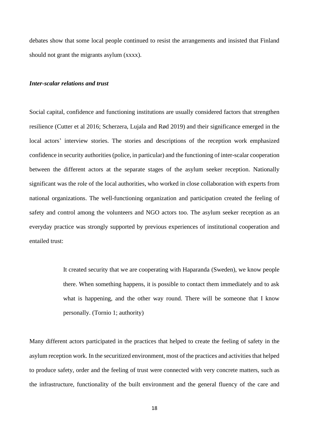debates show that some local people continued to resist the arrangements and insisted that Finland should not grant the migrants asylum (xxxx).

## *Inter-scalar relations and trust*

Social capital, confidence and functioning institutions are usually considered factors that strengthen resilience (Cutter et al 2016; Scherzera, Lujala and Rød 2019) and their significance emerged in the local actors' interview stories. The stories and descriptions of the reception work emphasized confidence in security authorities (police, in particular) and the functioning of inter-scalar cooperation between the different actors at the separate stages of the asylum seeker reception. Nationally significant was the role of the local authorities, who worked in close collaboration with experts from national organizations. The well-functioning organization and participation created the feeling of safety and control among the volunteers and NGO actors too. The asylum seeker reception as an everyday practice was strongly supported by previous experiences of institutional cooperation and entailed trust:

> It created security that we are cooperating with Haparanda (Sweden), we know people there. When something happens, it is possible to contact them immediately and to ask what is happening, and the other way round. There will be someone that I know personally. (Tornio 1; authority)

Many different actors participated in the practices that helped to create the feeling of safety in the asylum reception work. In the securitized environment, most of the practices and activities that helped to produce safety, order and the feeling of trust were connected with very concrete matters, such as the infrastructure, functionality of the built environment and the general fluency of the care and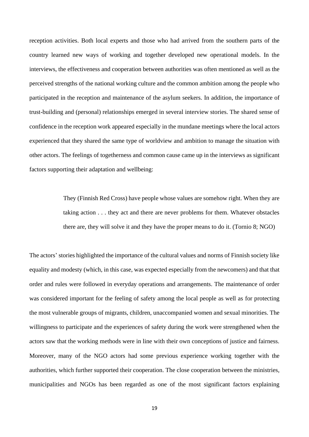reception activities. Both local experts and those who had arrived from the southern parts of the country learned new ways of working and together developed new operational models. In the interviews, the effectiveness and cooperation between authorities was often mentioned as well as the perceived strengths of the national working culture and the common ambition among the people who participated in the reception and maintenance of the asylum seekers. In addition, the importance of trust-building and (personal) relationships emerged in several interview stories. The shared sense of confidence in the reception work appeared especially in the mundane meetings where the local actors experienced that they shared the same type of worldview and ambition to manage the situation with other actors. The feelings of togetherness and common cause came up in the interviews as significant factors supporting their adaptation and wellbeing:

> They (Finnish Red Cross) have people whose values are somehow right. When they are taking action . . . they act and there are never problems for them. Whatever obstacles there are, they will solve it and they have the proper means to do it. (Tornio 8; NGO)

The actors' stories highlighted the importance of the cultural values and norms of Finnish society like equality and modesty (which, in this case, was expected especially from the newcomers) and that that order and rules were followed in everyday operations and arrangements. The maintenance of order was considered important for the feeling of safety among the local people as well as for protecting the most vulnerable groups of migrants, children, unaccompanied women and sexual minorities. The willingness to participate and the experiences of safety during the work were strengthened when the actors saw that the working methods were in line with their own conceptions of justice and fairness. Moreover, many of the NGO actors had some previous experience working together with the authorities, which further supported their cooperation. The close cooperation between the ministries, municipalities and NGOs has been regarded as one of the most significant factors explaining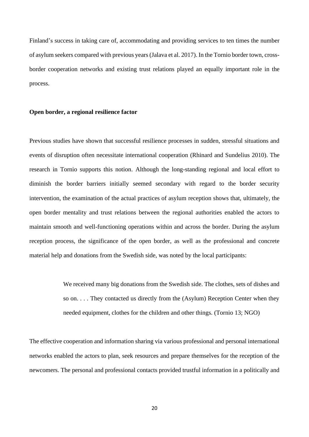Finland's success in taking care of, accommodating and providing services to ten times the number of asylum seekers compared with previous years(Jalava et al. 2017). In the Tornio border town, crossborder cooperation networks and existing trust relations played an equally important role in the process.

### **Open border, a regional resilience factor**

Previous studies have shown that successful resilience processes in sudden, stressful situations and events of disruption often necessitate international cooperation (Rhinard and Sundelius 2010). The research in Tornio supports this notion. Although the long-standing regional and local effort to diminish the border barriers initially seemed secondary with regard to the border security intervention, the examination of the actual practices of asylum reception shows that, ultimately, the open border mentality and trust relations between the regional authorities enabled the actors to maintain smooth and well-functioning operations within and across the border. During the asylum reception process, the significance of the open border, as well as the professional and concrete material help and donations from the Swedish side, was noted by the local participants:

> We received many big donations from the Swedish side. The clothes, sets of dishes and so on. . . . They contacted us directly from the (Asylum) Reception Center when they needed equipment, clothes for the children and other things. (Tornio 13; NGO)

The effective cooperation and information sharing via various professional and personal international networks enabled the actors to plan, seek resources and prepare themselves for the reception of the newcomers. The personal and professional contacts provided trustful information in a politically and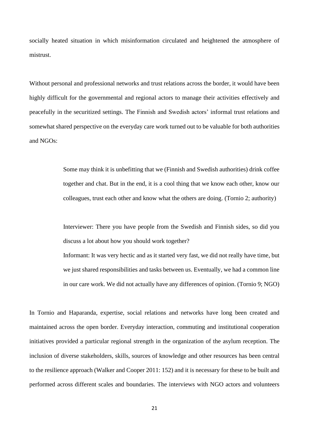socially heated situation in which misinformation circulated and heightened the atmosphere of mistrust.

Without personal and professional networks and trust relations across the border, it would have been highly difficult for the governmental and regional actors to manage their activities effectively and peacefully in the securitized settings. The Finnish and Swedish actors' informal trust relations and somewhat shared perspective on the everyday care work turned out to be valuable for both authorities and NGOs:

> Some may think it is unbefitting that we (Finnish and Swedish authorities) drink coffee together and chat. But in the end, it is a cool thing that we know each other, know our colleagues, trust each other and know what the others are doing. (Tornio 2; authority)

> Interviewer: There you have people from the Swedish and Finnish sides, so did you discuss a lot about how you should work together?

> Informant: It was very hectic and as it started very fast, we did not really have time, but we just shared responsibilities and tasks between us. Eventually, we had a common line in our care work. We did not actually have any differences of opinion. (Tornio 9; NGO)

In Tornio and Haparanda, expertise, social relations and networks have long been created and maintained across the open border. Everyday interaction, commuting and institutional cooperation initiatives provided a particular regional strength in the organization of the asylum reception. The inclusion of diverse stakeholders, skills, sources of knowledge and other resources has been central to the resilience approach (Walker and Cooper 2011: 152) and it is necessary for these to be built and performed across different scales and boundaries. The interviews with NGO actors and volunteers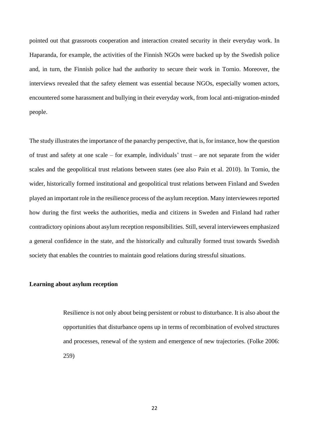pointed out that grassroots cooperation and interaction created security in their everyday work. In Haparanda, for example, the activities of the Finnish NGOs were backed up by the Swedish police and, in turn, the Finnish police had the authority to secure their work in Tornio. Moreover, the interviews revealed that the safety element was essential because NGOs, especially women actors, encountered some harassment and bullying in their everyday work, from local anti-migration-minded people.

The study illustrates the importance of the panarchy perspective, that is, for instance, how the question of trust and safety at one scale – for example, individuals' trust – are not separate from the wider scales and the geopolitical trust relations between states (see also Pain et al. 2010). In Tornio, the wider, historically formed institutional and geopolitical trust relations between Finland and Sweden played an important role in the resilience process of the asylum reception. Many interviewees reported how during the first weeks the authorities, media and citizens in Sweden and Finland had rather contradictory opinions about asylum reception responsibilities. Still, several interviewees emphasized a general confidence in the state, and the historically and culturally formed trust towards Swedish society that enables the countries to maintain good relations during stressful situations.

### **Learning about asylum reception**

Resilience is not only about being persistent or robust to disturbance. It is also about the opportunities that disturbance opens up in terms of recombination of evolved structures and processes, renewal of the system and emergence of new trajectories. (Folke 2006: 259)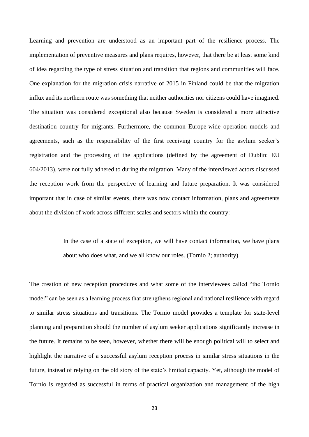Learning and prevention are understood as an important part of the resilience process. The implementation of preventive measures and plans requires, however, that there be at least some kind of idea regarding the type of stress situation and transition that regions and communities will face. One explanation for the migration crisis narrative of 2015 in Finland could be that the migration influx and its northern route was something that neither authorities nor citizens could have imagined. The situation was considered exceptional also because Sweden is considered a more attractive destination country for migrants. Furthermore, the common Europe-wide operation models and agreements, such as the responsibility of the first receiving country for the asylum seeker's registration and the processing of the applications (defined by the agreement of Dublin: EU 604/2013), were not fully adhered to during the migration. Many of the interviewed actors discussed the reception work from the perspective of learning and future preparation. It was considered important that in case of similar events, there was now contact information, plans and agreements about the division of work across different scales and sectors within the country:

> In the case of a state of exception, we will have contact information, we have plans about who does what, and we all know our roles. (Tornio 2; authority)

The creation of new reception procedures and what some of the interviewees called "the Tornio model" can be seen as a learning process that strengthens regional and national resilience with regard to similar stress situations and transitions. The Tornio model provides a template for state-level planning and preparation should the number of asylum seeker applications significantly increase in the future. It remains to be seen, however, whether there will be enough political will to select and highlight the narrative of a successful asylum reception process in similar stress situations in the future, instead of relying on the old story of the state's limited capacity. Yet, although the model of Tornio is regarded as successful in terms of practical organization and management of the high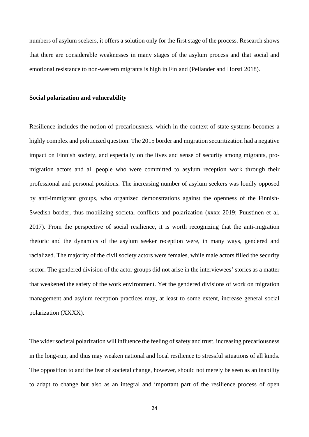numbers of asylum seekers, it offers a solution only for the first stage of the process. Research shows that there are considerable weaknesses in many stages of the asylum process and that social and emotional resistance to non-western migrants is high in Finland (Pellander and Horsti 2018).

#### **Social polarization and vulnerability**

Resilience includes the notion of precariousness, which in the context of state systems becomes a highly complex and politicized question. The 2015 border and migration securitization had a negative impact on Finnish society, and especially on the lives and sense of security among migrants, promigration actors and all people who were committed to asylum reception work through their professional and personal positions. The increasing number of asylum seekers was loudly opposed by anti-immigrant groups, who organized demonstrations against the openness of the Finnish-Swedish border, thus mobilizing societal conflicts and polarization (xxxx 2019; Puustinen et al. 2017). From the perspective of social resilience, it is worth recognizing that the anti-migration rhetoric and the dynamics of the asylum seeker reception were, in many ways, gendered and racialized. The majority of the civil society actors were females, while male actors filled the security sector. The gendered division of the actor groups did not arise in the interviewees' stories as a matter that weakened the safety of the work environment. Yet the gendered divisions of work on migration management and asylum reception practices may, at least to some extent, increase general social polarization (XXXX).

The wider societal polarization will influence the feeling of safety and trust, increasing precariousness in the long-run, and thus may weaken national and local resilience to stressful situations of all kinds. The opposition to and the fear of societal change, however, should not merely be seen as an inability to adapt to change but also as an integral and important part of the resilience process of open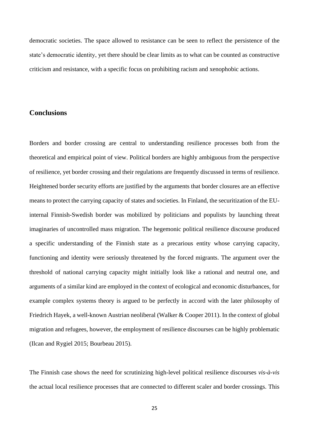democratic societies. The space allowed to resistance can be seen to reflect the persistence of the state's democratic identity, yet there should be clear limits as to what can be counted as constructive criticism and resistance, with a specific focus on prohibiting racism and xenophobic actions.

# **Conclusions**

Borders and border crossing are central to understanding resilience processes both from the theoretical and empirical point of view. Political borders are highly ambiguous from the perspective of resilience, yet border crossing and their regulations are frequently discussed in terms of resilience. Heightened border security efforts are justified by the arguments that border closures are an effective means to protect the carrying capacity of states and societies. In Finland, the securitization of the EUinternal Finnish-Swedish border was mobilized by politicians and populists by launching threat imaginaries of uncontrolled mass migration. The hegemonic political resilience discourse produced a specific understanding of the Finnish state as a precarious entity whose carrying capacity, functioning and identity were seriously threatened by the forced migrants. The argument over the threshold of national carrying capacity might initially look like a rational and neutral one, and arguments of a similar kind are employed in the context of ecological and economic disturbances, for example complex systems theory is argued to be perfectly in accord with the later philosophy of Friedrich Hayek, a well-known Austrian neoliberal (Walker & Cooper 2011). In the context of global migration and refugees, however, the employment of resilience discourses can be highly problematic (Ilcan and Rygiel 2015; Bourbeau 2015).

The Finnish case shows the need for scrutinizing high-level political resilience discourses *vis-à-vis* the actual local resilience processes that are connected to different scaler and border crossings. This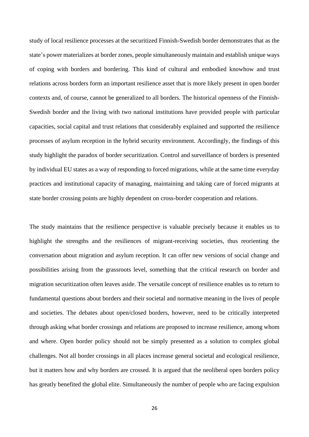study of local resilience processes at the securitized Finnish-Swedish border demonstrates that as the state's power materializes at border zones, people simultaneously maintain and establish unique ways of coping with borders and bordering. This kind of cultural and embodied knowhow and trust relations across borders form an important resilience asset that is more likely present in open border contexts and, of course, cannot be generalized to all borders. The historical openness of the Finnish-Swedish border and the living with two national institutions have provided people with particular capacities, social capital and trust relations that considerably explained and supported the resilience processes of asylum reception in the hybrid security environment. Accordingly, the findings of this study highlight the paradox of border securitization. Control and surveillance of borders is presented by individual EU states as a way of responding to forced migrations, while at the same time everyday practices and institutional capacity of managing, maintaining and taking care of forced migrants at state border crossing points are highly dependent on cross-border cooperation and relations.

The study maintains that the resilience perspective is valuable precisely because it enables us to highlight the strengths and the resiliences of migrant-receiving societies, thus reorienting the conversation about migration and asylum reception. It can offer new versions of social change and possibilities arising from the grassroots level, something that the critical research on border and migration securitization often leaves aside. The versatile concept of resilience enables us to return to fundamental questions about borders and their societal and normative meaning in the lives of people and societies. The debates about open/closed borders, however, need to be critically interpreted through asking what border crossings and relations are proposed to increase resilience, among whom and where. Open border policy should not be simply presented as a solution to complex global challenges. Not all border crossings in all places increase general societal and ecological resilience, but it matters how and why borders are crossed. It is argued that the neoliberal open borders policy has greatly benefited the global elite. Simultaneously the number of people who are facing expulsion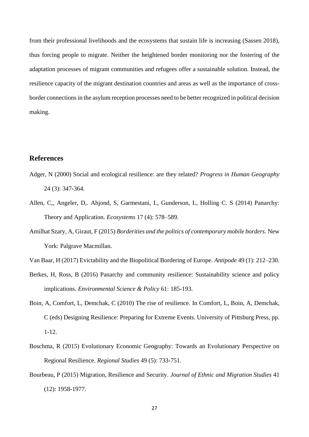from their professional livelihoods and the ecosystems that sustain life is increasing (Sassen 2018), thus forcing people to migrate. Neither the heightened border monitoring nor the fostering of the adaptation processes of migrant communities and refugees offer a sustainable solution. Instead, the resilience capacity of the migrant destination countries and areas as well as the importance of crossborder connections in the asylum reception processes need to be better recognized in political decision making.

# **References**

- Adger, N (2000) Social and ecological resilience: are they related? *Progress in Human Geography* 24 (3): 347-364.
- Allen, C,, Angeler, D,. Ahjond, S, Garmestani, L, Gunderson, L, Holling C. S (2014) Panarchy: Theory and Application. *Ecosystems* 17 (4): 578–589.
- Amilhat Szary, A, Giraut, F (2015) *Borderities and the politics of contemporary mobile borders*. New York: Palgrave Macmillan.
- Van Baar, H (2017) Evictability and the Biopolitical Bordering of Europe. *Antipode* 49 (1): 212–230.
- Berkes, H, Ross, B (2016) Panarchy and community resilience: Sustainability science and policy implications. *Environmental Science & Policy* 61: 185-193.
- Boin, A, Comfort, L, Demchak, C (2010) The rise of resilience. In Comfort, L, Boin, A, Demchak, C (eds) Designing Resilience: Preparing for Extreme Events. University of Pittsburg Press, pp. 1-12.
- Boschma, R (2015) Evolutionary Economic Geography: Towards an Evolutionary Perspective on Regional Resilience. *Regional Studies* 49 (5): 733-751.
- Bourbeau, P (2015) Migration, Resilience and Security. *Journal of Ethnic and Migration Studies* 41 (12): 1958-1977.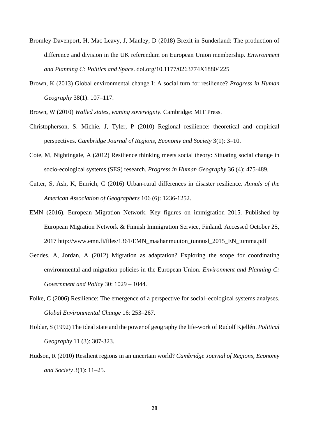- Bromley-Davenport, H, Mac Leavy, J, Manley, D (2018) Brexit in Sunderland: The production of difference and division in the UK referendum on European Union membership. *Environment and Planning C: Politics and Space*. doi.org/10.1177/0263774X18804225
- Brown, K (2013) Global environmental change I: A social turn for resilience? *Progress in Human Geography* 38(1): 107–117.
- Brown, W (2010) *Walled states, waning sovereignty*. Cambridge: MIT Press.
- Christopherson, S. Michie, J, Tyler, P (2010) Regional resilience: theoretical and empirical perspectives. *Cambridge Journal of Regions, Economy and Society* 3(1): 3–10.
- Cote, M, Nightingale, A (2012) Resilience thinking meets social theory: Situating social change in socio-ecological systems (SES) research. *Progress in Human Geography* 36 (4): 475-489.
- Cutter, S, Ash, K, Emrich, C (2016) Urban-rural differences in disaster resilience. *Annals of the American Association of Geographers* 106 (6): 1236-1252.
- EMN (2016). European Migration Network. Key figures on immigration 2015. Published by European Migration Network & Finnish Immigration Service, Finland. Accessed October 25, 2017 http://www.emn.fi/files/1361/EMN\_maahanmuuton\_tunnusl\_2015\_EN\_tumma.pdf
- Geddes, A, Jordan, A (2012) Migration as adaptation? Exploring the scope for coordinating environmental and migration policies in the European Union. *Environment and Planning C: Government and Policy* 30: 1029 – 1044.
- Folke, C (2006) Resilience: The emergence of a perspective for social–ecological systems analyses. *Global Environmental Change* 16: 253–267.
- Holdar, S (1992) The ideal state and the power of geography the life-work of Rudolf Kjellén. *Political Geography* 11 (3): 307-323.
- Hudson, R (2010) Resilient regions in an uncertain world? *Cambridge Journal of Regions, Economy and Society* 3(1): 11–25.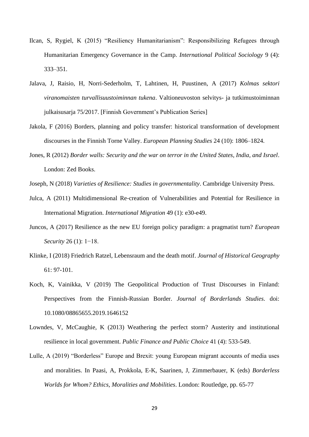- Ilcan, S, Rygiel, K (2015) "Resiliency Humanitarianism": Responsibilizing Refugees through Humanitarian Emergency Governance in the Camp. *International Political Sociology* 9 (4): 333–351.
- Jalava, J, Raisio, H, Norri-Sederholm, T, Lahtinen, H, Puustinen, A (2017) *Kolmas sektori viranomaisten turvallisuustoiminnan tukena*. Valtioneuvoston selvitys- ja tutkimustoiminnan julkaisusarja 75/2017. [Finnish Government's Publication Series]
- Jakola, F (2016) Borders, planning and policy transfer: historical transformation of development discourses in the Finnish Torne Valley. *European Planning Studies* 24 (10): 1806–1824.
- Jones, R (2012) *Border walls: Security and the war on terror in the United States, India, and Israel*. London: Zed Books.

- Julca, A (2011) Multidimensional Re‐creation of Vulnerabilities and Potential for Resilience in International Migration. *International Migration* 49 (1): e30-e49.
- Juncos, A (2017) Resilience as the new EU foreign policy paradigm: a pragmatist turn? *European Security* 26 (1): 1−18.
- Klinke, I (2018) Friedrich Ratzel, Lebensraum and the death motif. *Journal of Historical Geography* 61: 97-101.
- Koch, K, Vainikka, V (2019) The Geopolitical Production of Trust Discourses in Finland: Perspectives from the Finnish-Russian Border. *Journal of Borderlands Studies*. doi: 10.1080/08865655.2019.1646152
- Lowndes, V, McCaughie, K (2013) Weathering the perfect storm? Austerity and institutional resilience in local government. *Public Finance and Public Choice* 41 (4): 533-549.
- Lulle, A (2019) "Borderless" Europe and Brexit: young European migrant accounts of media uses and moralities. In Paasi, A, Prokkola, E-K, Saarinen, J, Zimmerbauer, K (eds) *Borderless Worlds for Whom? Ethics, Moralities and Mobilities*. London: Routledge, pp. 65-77

Joseph, N (2018) *Varieties of Resilience: Studies in governmentality*. Cambridge University Press.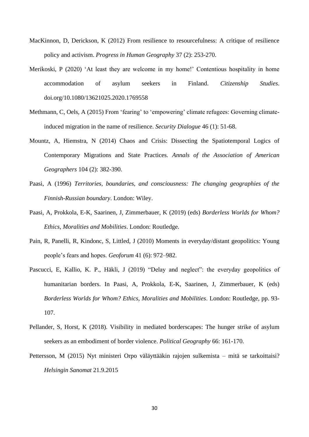- MacKinnon, D, Derickson, K (2012) From resilience to resourcefulness: A critique of resilience policy and activism. *Progress in Human Geography* 37 (2): 253-270.
- Merikoski, P (2020) 'At least they are welcome in my home!' Contentious hospitality in home accommodation of asylum seekers in Finland. *Citizenship Studies*. doi.org/10.1080/13621025.2020.1769558
- Methmann, C, Oels, A (2015) From 'fearing' to 'empowering' climate refugees: Governing climateinduced migration in the name of resilience. *Security Dialogue* 46 (1): 51-68.
- Mountz, A, Hiemstra, N (2014) Chaos and Crisis: Dissecting the Spatiotemporal Logics of Contemporary Migrations and State Practices. *Annals of the Association of American Geographers* 104 (2): 382-390.
- Paasi, A (1996) *Territories, boundaries, and consciousness: The changing geographies of the Finnish-Russian boundary*. London: Wiley.
- Paasi, A, Prokkola, E-K, Saarinen, J, Zimmerbauer, K (2019) (eds) *Borderless Worlds for Whom? Ethics, Moralities and Mobilities*. London: Routledge.
- Pain, R, Panelli, R, Kindonc, S, Littled, J (2010) Moments in everyday/distant geopolitics: Young people's fears and hopes. *Geoforum* 41 (6): 972–982.
- Pascucci, E, Kallio, K. P., Häkli, J (2019) "Delay and neglect": the everyday geopolitics of humanitarian borders. In Paasi, A, Prokkola, E-K, Saarinen, J, Zimmerbauer, K (eds) *Borderless Worlds for Whom? Ethics, Moralities and Mobilities*. London: Routledge, pp. 93- 107.
- Pellander, S, Horst, K (2018). Visibility in mediated borderscapes: The hunger strike of asylum seekers as an embodiment of border violence. *Political Geography* 66: 161-170.
- Pettersson, M (2015) Nyt ministeri Orpo väläyttääkin rajojen sulkemista mitä se tarkoittaisi? *Helsingin Sanomat* 21.9.2015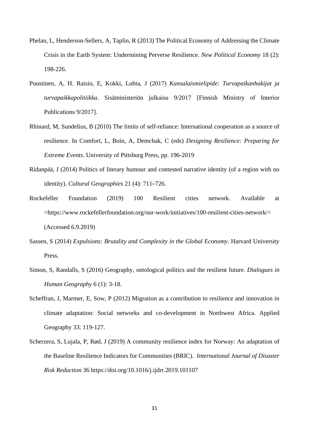- Phelan, L, Henderson-Sellers, A, Taplin, R (2013) The Political Economy of Addressing the Climate Crisis in the Earth System: Undermining Perverse Resilience. *New Political Economy* 18 (2): 198-226.
- Puustinen, A, H. Raisio, E, Kokki, Luhta, J (2017) *Kansalaismielipide: Turvapaikanhakijat ja turvapaikkapolitiikka*. Sisäministeriön julkaisu 9/2017 [Finnish Ministry of Interior Publications 9/2017].
- Rhinard, M, Sundelius, B (2010) The limits of self-reliance: International cooperation as a source of resilience. In Comfort, L, Boin, A, Demchak, C (eds) *Designing Resilience: Preparing for Extreme Events*. University of Pittsburg Press, pp. 196-2019
- Ridanpää, J (2014) Politics of literary humour and contested narrative identity (of a region with no identity). *Cultural Geographies* 21 (4): 711–726.
- Rockefeller Foundation (2019) 100 Resilient cities network. Available at >https://www.rockefellerfoundation.org/our-work/initiatives/100-resilient-cities-network/< (Accessed 6.9.2019)
- Sassen, S (2014) *Expulsions: Brutality and Complexity in the Global Economy*. Harvard University Press.
- Simon, S, Randalls, S (2016) Geography, ontological politics and the resilient future. *Dialogues in Human Geography* 6 (1): 3-18.
- Scheffran, J, Marmer, E, Sow, P (2012) Migration as a contribution to resilience and innovation in climate adaptation: Social networks and co-development in Northwest Africa. Applied Geography 33: 119-127.
- Scherzera, S, Lujala, P, Rød, J (2019) A community resilience index for Norway: An adaptation of the Baseline Resilience Indicators for Communities (BRIC). *International Journal of Disaster Risk Reduction* 36 https://doi.org/10.1016/j.ijdrr.2019.101107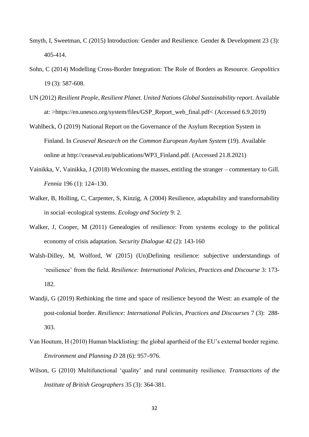- Smyth, I, Sweetman, C (2015) Introduction: Gender and Resilience. Gender & Development 23 (3): 405-414.
- Sohn, C (2014) Modelling Cross-Border Integration: The Role of Borders as Resource. *Geopolitics* 19 (3): 587-608.
- UN (2012) *Resilient People, Resilient Planet. United Nations Global Sustainability report*. Available at: >https://en.unesco.org/system/files/GSP\_Report\_web\_final.pdf< (Accessed 6.9.2019)
- Wahlbeck, Ö (2019) National Report on the Governance of the Asylum Reception System in Finland. In *Ceaseval Research on the Common European Asylum System* (19). Available online at http://ceaseval.eu/publications/WP3\_Finland.pdf. (Accessed 21.8.2021)
- Vainikka, V, Vainikka, J (2018) Welcoming the masses, entitling the stranger commentary to Gill. *Fennia* 196 (1): 124–130.
- Walker, B, Holling, C, Carpenter, S, Kinzig, A (2004) Resilience, adaptability and transformability in social–ecological systems. *Ecology and Society* 9: 2.
- Walker, J, Cooper, M (2011) Genealogies of resilience: From systems ecology to the political economy of crisis adaptation. *Security Dialogue* 42 (2): 143-160
- Walsh-Dilley, M, Wolford, W (2015) (Un)Defining resilience: subjective understandings of 'resilience' from the field. *Resilience: International Policies, Practices and Discourse* 3: 173- 182.
- Wandji, G (2019) Rethinking the time and space of resilience beyond the West: an example of the post-colonial border. *Resilience: International Policies, Practices and Discourses* 7 (3): 288- 303.
- Van Houtum, H (2010) Human blacklisting: the global apartheid of the EU's external border regime. *Environment and Planning D* 28 (6): 957–976.
- Wilson, G (2010) Multifunctional 'quality' and rural community resilience. *Transactions of the Institute of British Geographers* 35 (3): 364-381.